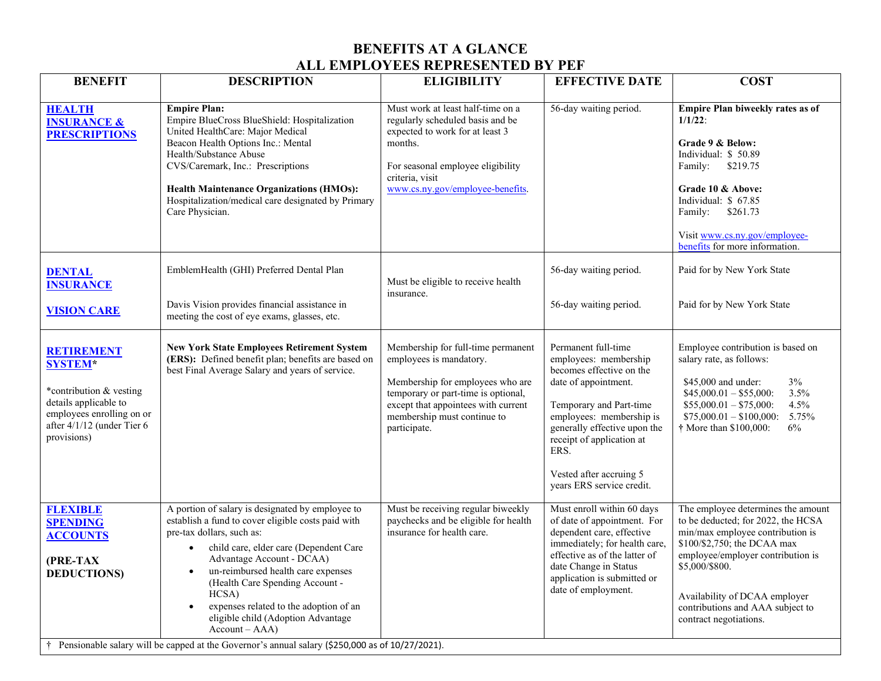## **BENEFITS AT A GLANCE ALL EMPLOYEES REPRESENTED BY PEF**

| <b>HEALTH</b><br><b>INSURANCE &amp;</b><br><b>PRESCRIPTIONS</b>                                                                                                   | <b>Empire Plan:</b><br>Empire BlueCross BlueShield: Hospitalization<br>United HealthCare: Major Medical<br>Beacon Health Options Inc.: Mental<br>Health/Substance Abuse<br>CVS/Caremark, Inc.: Prescriptions<br><b>Health Maintenance Organizations (HMOs):</b><br>Hospitalization/medical care designated by Primary<br>Care Physician.                                                                                                                                                                                      | Must work at least half-time on a<br>regularly scheduled basis and be<br>expected to work for at least 3<br>months.<br>For seasonal employee eligibility<br>criteria, visit<br>www.cs.ny.gov/employee-benefits.                | 56-day waiting period.                                                                                                                                                                                                                                                               | Empire Plan biweekly rates as of<br>$1/1/22$ :<br>Grade 9 & Below:<br>Individual: \$50.89<br>Family: \$219.75<br>Grade 10 & Above:<br>Individual: \$67.85<br>\$261.73<br>Family:<br>Visit www.cs.ny.gov/employee-<br>benefits for more information.                                               |
|-------------------------------------------------------------------------------------------------------------------------------------------------------------------|-------------------------------------------------------------------------------------------------------------------------------------------------------------------------------------------------------------------------------------------------------------------------------------------------------------------------------------------------------------------------------------------------------------------------------------------------------------------------------------------------------------------------------|--------------------------------------------------------------------------------------------------------------------------------------------------------------------------------------------------------------------------------|--------------------------------------------------------------------------------------------------------------------------------------------------------------------------------------------------------------------------------------------------------------------------------------|---------------------------------------------------------------------------------------------------------------------------------------------------------------------------------------------------------------------------------------------------------------------------------------------------|
| <b>DENTAL</b><br><b>INSURANCE</b><br><b>VISION CARE</b>                                                                                                           | EmblemHealth (GHI) Preferred Dental Plan<br>Davis Vision provides financial assistance in<br>meeting the cost of eye exams, glasses, etc.                                                                                                                                                                                                                                                                                                                                                                                     | Must be eligible to receive health<br>insurance.                                                                                                                                                                               | 56-day waiting period.<br>56-day waiting period.                                                                                                                                                                                                                                     | Paid for by New York State<br>Paid for by New York State                                                                                                                                                                                                                                          |
| <b>RETIREMENT</b><br><b>SYSTEM*</b><br>*contribution & vesting<br>details applicable to<br>employees enrolling on or<br>after 4/1/12 (under Tier 6<br>provisions) | <b>New York State Employees Retirement System</b><br>(ERS): Defined benefit plan; benefits are based on<br>best Final Average Salary and years of service.                                                                                                                                                                                                                                                                                                                                                                    | Membership for full-time permanent<br>employees is mandatory.<br>Membership for employees who are<br>temporary or part-time is optional,<br>except that appointees with current<br>membership must continue to<br>participate. | Permanent full-time<br>employees: membership<br>becomes effective on the<br>date of appointment.<br>Temporary and Part-time<br>employees: membership is<br>generally effective upon the<br>receipt of application at<br>ERS.<br>Vested after accruing 5<br>years ERS service credit. | Employee contribution is based on<br>salary rate, as follows:<br>$3\%$<br>\$45,000 and under:<br>3.5%<br>$$45,000.01 - $55,000$ :<br>4.5%<br>$$55,000.01 - $75,000$ :<br>$$75,000.01 - $100,000$ :<br>5.75%<br>6%<br>† More than \$100,000:                                                       |
| <b>FLEXIBLE</b><br><b>SPENDING</b><br><b>ACCOUNTS</b><br>(PRE-TAX<br><b>DEDUCTIONS</b><br>$\ddagger$                                                              | A portion of salary is designated by employee to<br>establish a fund to cover eligible costs paid with<br>pre-tax dollars, such as:<br>child care, elder care (Dependent Care<br>$\bullet$<br>Advantage Account - DCAA)<br>un-reimbursed health care expenses<br>$\bullet$<br>(Health Care Spending Account -<br>HCSA)<br>expenses related to the adoption of an<br>eligible child (Adoption Advantage<br>$Account - AAA)$<br>Pensionable salary will be capped at the Governor's annual salary (\$250,000 as of 10/27/2021). | Must be receiving regular biweekly<br>paychecks and be eligible for health<br>insurance for health care.                                                                                                                       | Must enroll within 60 days<br>of date of appointment. For<br>dependent care, effective<br>immediately; for health care,<br>effective as of the latter of<br>date Change in Status<br>application is submitted or<br>date of employment.                                              | The employee determines the amount<br>to be deducted; for 2022, the HCSA<br>min/max employee contribution is<br>\$100/\$2,750; the DCAA max<br>employee/employer contribution is<br>\$5,000/\$800.<br>Availability of DCAA employer<br>contributions and AAA subject to<br>contract negotiations. |